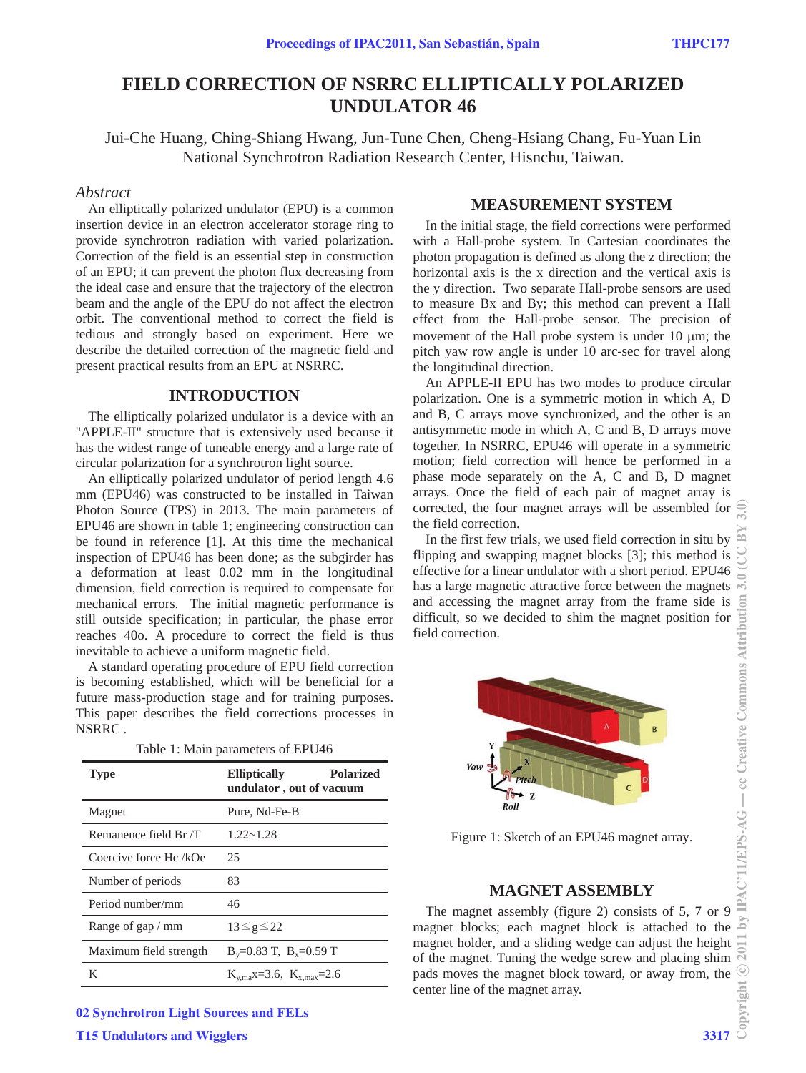# **FIELD CORRECTION OF NSRRC ELLIPTICALLY POLARIZED UNDULATOR 46**

Jui-Che Huang, Ching-Shiang Hwang, Jun-Tune Chen, Cheng-Hsiang Chang, Fu-Yuan Lin National Synchrotron Radiation Research Center, Hisnchu, Taiwan.

## *Abstract*

An elliptically polarized undulator (EPU) is a common insertion device in an electron accelerator storage ring to provide synchrotron radiation with varied polarization. Correction of the field is an essential step in construction of an EPU; it can prevent the photon flux decreasing from the ideal case and ensure that the trajectory of the electron beam and the angle of the EPU do not affect the electron orbit. The conventional method to correct the field is tedious and strongly based on experiment. Here we describe the detailed correction of the magnetic field and present practical results from an EPU at NSRRC.

# **INTRODUCTION**

The elliptically polarized undulator is a device with an "APPLE-II" structure that is extensively used because it has the widest range of tuneable energy and a large rate of circular polarization for a synchrotron light source.

An elliptically polarized undulator of period length 4.6 mm (EPU46) was constructed to be installed in Taiwan Photon Source (TPS) in 2013. The main parameters of EPU46 are shown in table 1; engineering construction can be found in reference [1]. At this time the mechanical inspection of EPU46 has been done; as the subgirder has a deformation at least 0.02 mm in the longitudinal dimension, field correction is required to compensate for mechanical errors. The initial magnetic performance is still outside specification; in particular, the phase error reaches 40o. A procedure to correct the field is thus inevitable to achieve a uniform magnetic field.

A standard operating procedure of EPU field correction is becoming established, which will be beneficial for a future mass-production stage and for training purposes. This paper describes the field corrections processes in NSRRC .

| Table 1: Main parameters of EPU46 |  |  |
|-----------------------------------|--|--|
|-----------------------------------|--|--|

| <b>Type</b>            | <b>Polarized</b><br><b>Elliptically</b><br>undulator, out of vacuum |
|------------------------|---------------------------------------------------------------------|
| Magnet                 | Pure, Nd-Fe-B                                                       |
| Remanence field Br /T  | $1.22 - 1.28$                                                       |
| Coercive force Hc /kOe | 25                                                                  |
| Number of periods      | 83                                                                  |
| Period number/mm       | 46                                                                  |
| Range of gap / mm      | $13 \le g \le 22$                                                   |
| Maximum field strength | $B_y=0.83$ T, $B_x=0.59$ T                                          |
| K                      | $K_{v,max} = 3.6, K_{v,max} = 2.6$                                  |

02 Synchrotron Light Sources and FELs

**T15 Undulators and Wigglers 3317** 

## **MEASUREMENT SYSTEM**

In the initial stage, the field corrections were performed with a Hall-probe system. In Cartesian coordinates the photon propagation is defined as along the z direction; the horizontal axis is the x direction and the vertical axis is the y direction. Two separate Hall-probe sensors are used to measure Bx and By; this method can prevent a Hall effect from the Hall-probe sensor. The precision of movement of the Hall probe system is under  $10 \mu m$ ; the pitch yaw row angle is under 10 arc-sec for travel along the longitudinal direction.

An APPLE-II EPU has two modes to produce circular polarization. One is a symmetric motion in which A, D and B, C arrays move synchronized, and the other is an antisymmetic mode in which A, C and B, D arrays move together. In NSRRC, EPU46 will operate in a symmetric motion; field correction will hence be performed in a phase mode separately on the A, C and B, D magnet arrays. Once the field of each pair of magnet array is corrected, the four magnet arrays will be assembled for the field correction.

In the first few trials, we used field correction in situ by flipping and swapping magnet blocks [3]; this method is effective for a linear undulator with a short period. EPU46 has a large magnetic attractive force between the magnets and accessing the magnet array from the frame side is difficult, so we decided to shim the magnet position for field correction.



Figure 1: Sketch of an EPU46 magnet array.

# **MAGNET ASSEMBLY**

The magnet assembly (figure 2) consists of 5, 7 or 9 magnet blocks; each magnet block is attached to the magnet holder, and a sliding wedge can adjust the height of the magnet. Tuning the wedge screw and placing shim pads moves the magnet block toward, or away from, the center line of the magnet array.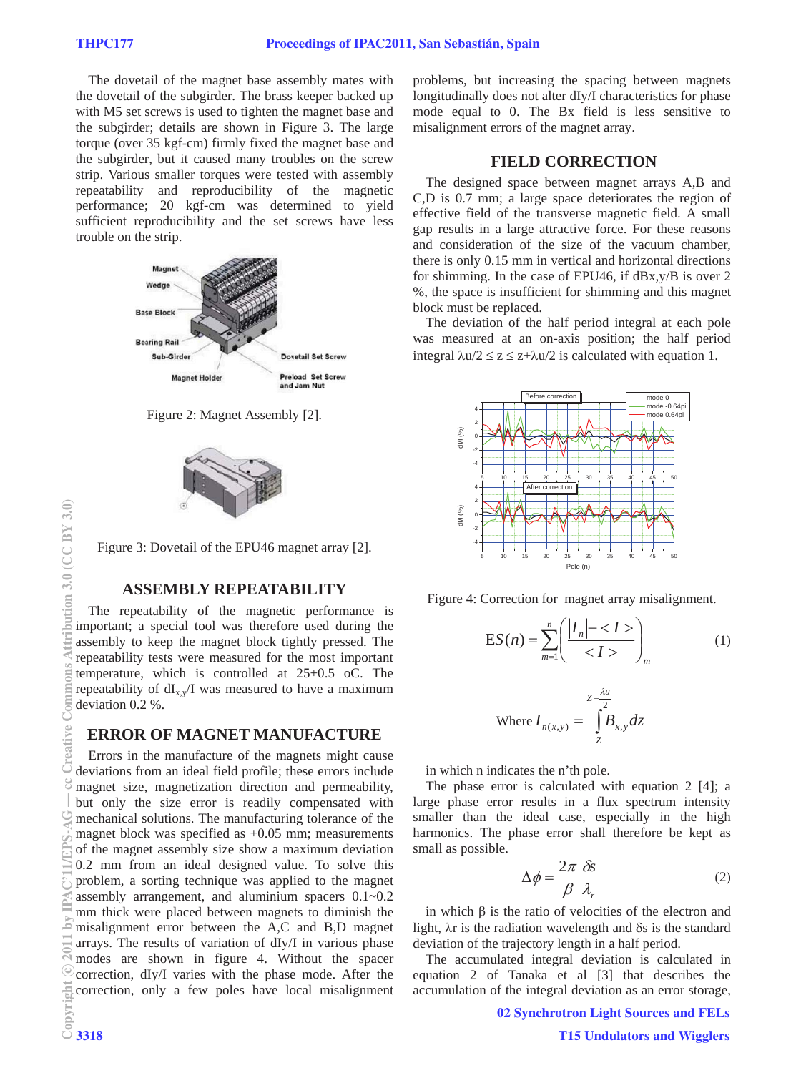The dovetail of the magnet base assembly mates with the dovetail of the subgirder. The brass keeper backed up with M5 set screws is used to tighten the magnet base and the subgirder; details are shown in Figure 3. The large torque (over 35 kgf-cm) firmly fixed the magnet base and the subgirder, but it caused many troubles on the screw strip. Various smaller torques were tested with assembly repeatability and reproducibility of the magnetic performance; 20 kgf-cm was determined to yield sufficient reproducibility and the set screws have less trouble on the strip.



Figure 2: Magnet Assembly [2].



Figure 3: Dovetail of the EPU46 magnet array [2].

### **ASSEMBLY REPEATABILITY**

The repeatability of the magnetic performance is important; a special tool was therefore used during the assembly to keep the magnet block tightly pressed. The repeatability tests were measured for the most important temperature, which is controlled at 25+0.5 oC. The repeatability of  $dI_{x,y}/I$  was measured to have a maximum deviation 0.2 %.

#### **ERROR OF MAGNET MANUFACTURE**

Errors in the manufacture of the magnets might cause deviations from an ideal field profile; these errors include magnet size, magnetization direction and permeability, but only the size error is readily compensated with mechanical solutions. The manufacturing tolerance of the magnet block was specified as +0.05 mm; measurements of the magnet assembly size show a maximum deviation 0.2 mm from an ideal designed value. To solve this problem, a sorting technique was applied to the magnet assembly arrangement, and aluminium spacers 0.1~0.2 mm thick were placed between magnets to diminish the misalignment error between the A,C and B,D magnet arrays. The results of variation of dIy/I in various phase modes are shown in figure 4. Without the spacer correction, dIy/I varies with the phase mode. After the correction, only a few poles have local misalignment problems, but increasing the spacing between magnets longitudinally does not alter dIy/I characteristics for phase mode equal to 0. The Bx field is less sensitive to misalignment errors of the magnet array.

# **FIELD CORRECTION**

The designed space between magnet arrays A,B and C,D is 0.7 mm; a large space deteriorates the region of effective field of the transverse magnetic field. A small gap results in a large attractive force. For these reasons and consideration of the size of the vacuum chamber, there is only 0.15 mm in vertical and horizontal directions for shimming. In the case of EPU46, if dBx,y/B is over 2 %, the space is insufficient for shimming and this magnet block must be replaced.

The deviation of the half period integral at each pole was measured at an on-axis position; the half period integral  $\lambda u/2 \le z \le z + \lambda u/2$  is calculated with equation 1.



Figure 4: Correction for magnet array misalignment.

$$
ES(n) = \sum_{m=1}^{n} \left( \frac{|I_n| - }{}\right)_m
$$
 (1)

Where 
$$
I_{n(x,y)} = \int_{Z}^{Z + \frac{\lambda u}{2}} B_{x,y} dz
$$

in which n indicates the n'th pole.

The phase error is calculated with equation 2 [4]; a large phase error results in a flux spectrum intensity smaller than the ideal case, especially in the high harmonics. The phase error shall therefore be kept as small as possible.

$$
\Delta \phi = \frac{2\pi}{\beta} \frac{\delta s}{\lambda_r} \tag{2}
$$

in which  $\beta$  is the ratio of velocities of the electron and light,  $\lambda r$  is the radiation wavelength and  $\delta s$  is the standard deviation of the trajectory length in a half period.

The accumulated integral deviation is calculated in equation 2 of Tanaka et al [3] that describes the accumulation of the integral deviation as an error storage,